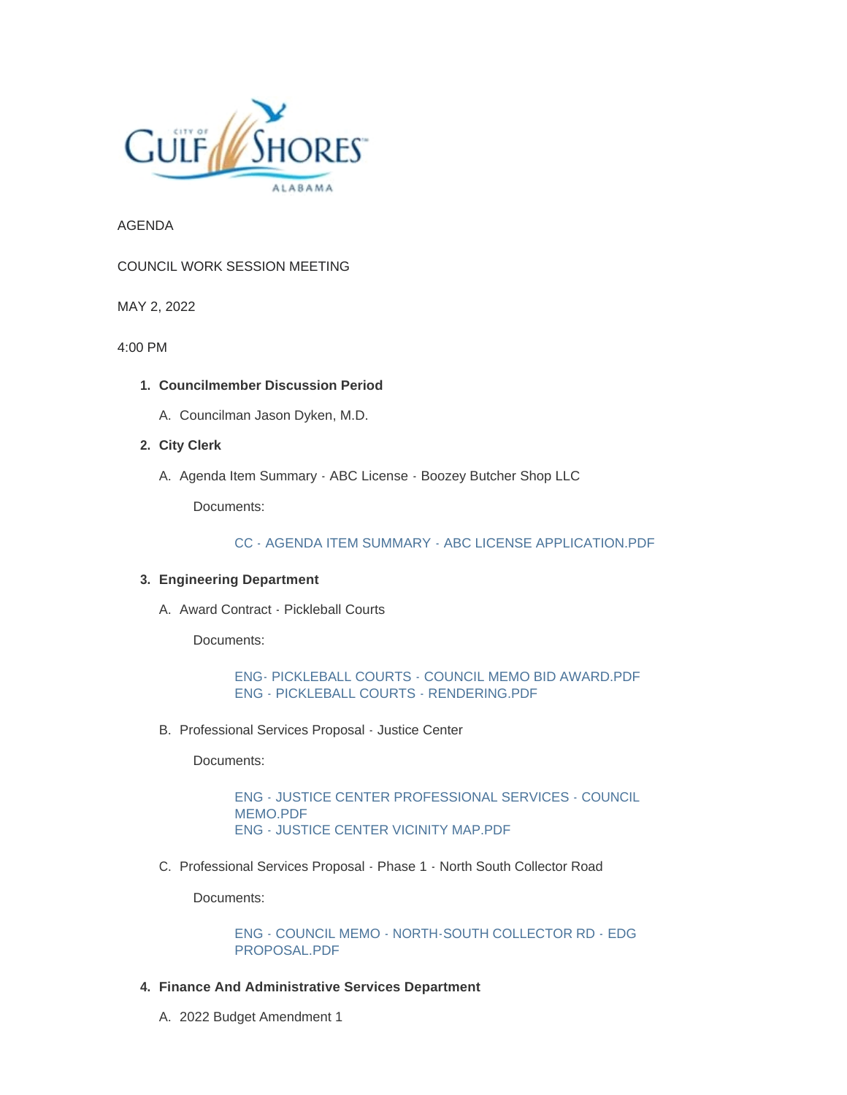

AGENDA

COUNCIL WORK SESSION MEETING

MAY 2, 2022

4:00 PM

- **Councilmember Discussion Period 1.**
	- A. Councilman Jason Dyken, M.D.
- **City Clerk 2.**
	- A. Agenda Item Summary ABC License Boozey Butcher Shop LLC

Documents:

[CC - AGENDA ITEM SUMMARY - ABC LICENSE APPLICATION.PDF](https://www.gulfshoresal.gov/AgendaCenter/ViewFile/Item/10152?fileID=22000)

## **Engineering Department 3.**

A. Award Contract - Pickleball Courts

Documents:

[ENG- PICKLEBALL COURTS - COUNCIL MEMO BID AWARD.PDF](https://www.gulfshoresal.gov/AgendaCenter/ViewFile/Item/10155?fileID=22004) [ENG - PICKLEBALL COURTS - RENDERING.PDF](https://www.gulfshoresal.gov/AgendaCenter/ViewFile/Item/10155?fileID=22005)

B. Professional Services Proposal - Justice Center

Documents:

[ENG - JUSTICE CENTER PROFESSIONAL SERVICES - COUNCIL](https://www.gulfshoresal.gov/AgendaCenter/ViewFile/Item/10154?fileID=22002)  MEMO.PDF [ENG - JUSTICE CENTER VICINITY MAP.PDF](https://www.gulfshoresal.gov/AgendaCenter/ViewFile/Item/10154?fileID=22003)

C. Professional Services Proposal - Phase 1 - North South Collector Road

Documents:

[ENG - COUNCIL MEMO - NORTH-SOUTH COLLECTOR RD - EDG](https://www.gulfshoresal.gov/AgendaCenter/ViewFile/Item/10153?fileID=22001)  PROPOSAL.PDF

- **Finance And Administrative Services Department 4.**
	- 2022 Budget Amendment 1 A.